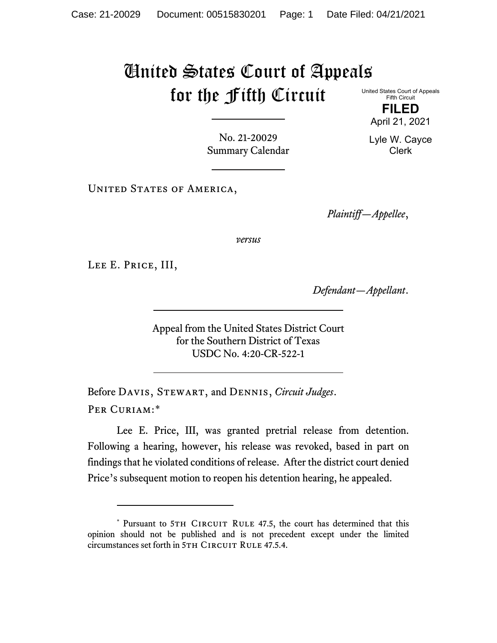## United States Court of Appeals for the Fifth Circuit

United States Court of Appeals Fifth Circuit

**FILED** April 21, 2021

Lyle W. Cayce Clerk

No. 21-20029 Summary Calendar

UNITED STATES OF AMERICA,

*Plaintiff—Appellee*,

*versus*

Lee E. Price, III,

*Defendant—Appellant*.

Appeal from the United States District Court for the Southern District of Texas USDC No. 4:20-CR-522-1

Before Davis, Stewart, and Dennis, *Circuit Judges*. Per Curiam:[\\*](#page-0-0)

Lee E. Price, III, was granted pretrial release from detention. Following a hearing, however, his release was revoked, based in part on findings that he violated conditions of release. After the district court denied Price's subsequent motion to reopen his detention hearing, he appealed.

<span id="page-0-0"></span><sup>\*</sup> Pursuant to 5TH CIRCUIT RULE 47.5, the court has determined that this opinion should not be published and is not precedent except under the limited circumstances set forth in 5TH CIRCUIT RULE 47.5.4.